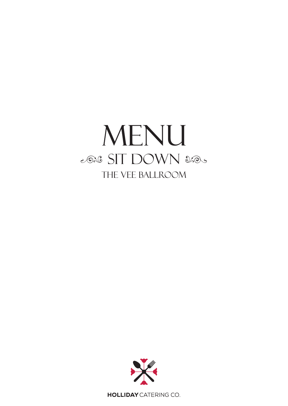# MENU 2026 SIT DOWN 2005 THE VEE BALLROOM



**HOLLIDAY** CATERING CO.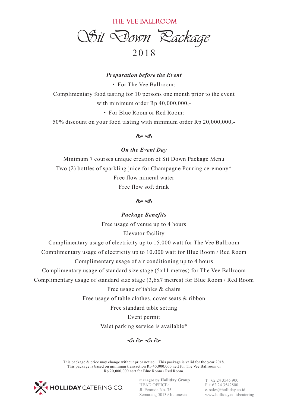THE VEE BALLROOM

*Sit Down Package*  20 1 8

### *Preparation before the Event*

• For The Vee Ballroom: Complimentary food tasting for 10 persons one month prior to the event with minimum order  $Rp$  40,000,000,-• For Blue Room or Red Room:

50% discount on your food tasting with minimum order Rp 20,000,000,-

 $\hat{\sigma}$ 

#### *On the Event Day*

Minimum 7 courses unique creation of Sit Down Package Menu Two (2) bottles of sparkling juice for Champagne Pouring ceremony\* Free flow mineral water Free flow soft drink

 $\hat{\alpha}$ 

## *Package Benefits*

Free usage of venue up to 4 hours

Elevator facility

Complimentary usage of electricity up to 15.000 watt for The Vee Ballroom

Complimentary usage of electricity up to 10.000 watt for Blue Room / Red Room

Complimentary usage of air conditioning up to 4 hours

Complimentary usage of standard size stage (5x11 metres) for The Vee Ballroom

Complimentary usage of standard size stage (3,6x7 metres) for Blue Room / Red Room

#### Free usage of tables & chairs

Free usage of table clothes, cover seats & ribbon

Free standard table setting

Event permit

Valet parking service is available\*

 $\hat{\infty}$   $\hat{\infty}$   $\hat{\infty}$ 

This package & price may change without prior notice. | This package is valid for the year 2018. This package is based on minimum transaction Rp 40,000,000 nett for The Vee Ballroom or Rp 20,000,000 nett for Blue Room / Red Room.



**managed by Holliday Group** HEAD OFFICE: Jl. Pemuda No. 35 Semarang 50139 Indonesia

T +62 24 3545 900  $F + 62 24 3542800$ e. sales@holliday.co.id www.holliday.co.id/catering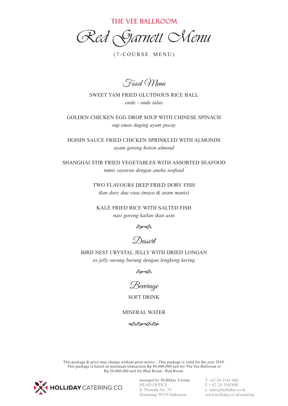THE VEE BALLROOM

*Red Garnett Menu*

 $(7-COURSE MEMU)$ 

Food Menu

SWEET YAM FRIED GLUTINOUS RICE BALL *onde - onde talas*

GOLDEN CHICKEN EGG DROP SOUP WITH CHINESE SPINACH *sup emas daging ayam pocay*

HOISIN SAUCE FRIED CHICKEN SPRINKLED WITH ALMONDS *ayam goreng hoisin almond*

SHANGHAI STIR FRIED VEGETABLES WITH ASSORTED SEAFOOD *tumis sayuran dengan aneka seafood*

> TWO FLAVOURS DEEP FRIED DORY FISH *ikan dory dua rasa (mayo & asam manis)*

KALE FRIED RICE WITH SALTED FISH *nasi goreng kailan ikan asin* 



Dessert

BIRD NEST CRYSTAL JELLY WITH DRIED LONGAN *es jelly sarang burung dengan lengkeng kering*

 $\hat{\alpha}$ 

Beverage

SOFT DRINK

MINERAL WATER

 $\hat{\infty}$ 

This package & price may change without prior notice. | This package is valid for the year 2018. This package is based on minimum transaction Rp 40,000,000 nett for The Vee Ballroom or Rp 20,000,000 nett for Blue Room / Red Room.



**managed by Holliday Group** HEAD OFFICE: Jl. Pemuda No. 35 Semarang 50139 Indonesia

T +62 24 3545 900  $F + 62 24 3542800$ e. sales@holliday.co.id www.holliday.co.id/catering